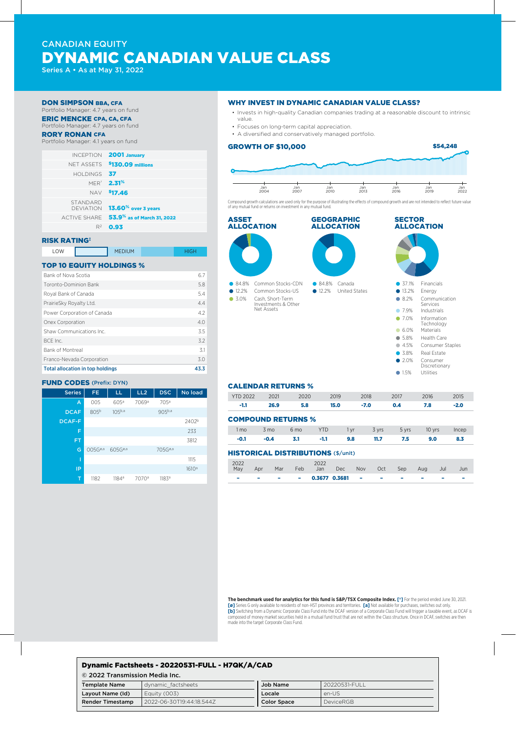# CANADIAN EQUITY DYNAMIC CANADIAN VALUE CLASS

Series A • As at May 31, 2022

#### DON SIMPSON BBA, CFA

Portfolio Manager: 4.7 years on fund ERIC MENCKE CPA, CA, CFA

# Portfolio Manager: 4.7 years on fund

### RORY RONAN CFA

Portfolio Manager: 4.1 years on fund

| <b>INCEPTION 2001 January</b>                   |                 |
|-------------------------------------------------|-----------------|
| NFT ASSETS \$130.09 millions                    |                 |
|                                                 | HOLDINGS 37     |
| <b>MER<sup>®</sup> 2.31<sup>%</sup></b>         |                 |
| NAV \$17.46                                     |                 |
| DEVIATION <b>13.60<sup>%</sup> over 3 years</b> | <b>STANDARD</b> |
| ACTIVE SHARE 53.9% as of March 31, 2022         |                 |
| $R^2$ 0.93                                      |                 |
|                                                 |                 |

## RISK RATING‡

| LOW<br><b>MEDIUM</b> |
|----------------------|
|----------------------|

## TOP 10 EQUITY HOLDINGS %

| <b>Total allocation in top holdings</b> | 43.3 |
|-----------------------------------------|------|
| Franco-Nevada Corporation               | 3.0  |
| <b>Bank of Montreal</b>                 | 31   |
| BCF Inc.                                | 3.2  |
| Shaw Communications Inc.                | 3.5  |
| Onex Corporation                        | 4.0  |
| Power Corporation of Canada             | 4.2  |
| PrairieSky Royalty Ltd.                 | 4.4  |
| Royal Bank of Canada                    | 5.4  |
| Toronto-Dominion Bank                   | 5.8  |
| Bank of Nova Scotia                     | 6.7  |
|                                         |      |

### FUND CODES (Prefix: DYN)

| <b>Series</b> | FE.                    | LL                  | LL2               | <b>DSC</b>          | No load           |
|---------------|------------------------|---------------------|-------------------|---------------------|-------------------|
| A             | 005                    | 605a                | 7069ª             | 705 <sup>a</sup>    |                   |
| <b>DCAF</b>   | 805 <sup>b</sup>       | $105^{b,a}$         |                   | 905b,a              |                   |
| <b>DCAF-F</b> |                        |                     |                   |                     | 2402 <sup>b</sup> |
| F             |                        |                     |                   |                     | 233               |
| <b>FT</b>     |                        |                     |                   |                     | 3812              |
| G             | $005G^{\varnothing,a}$ | 605G <sup>0,3</sup> |                   | 705G <sup>ø,a</sup> |                   |
| Ī             |                        |                     |                   |                     | 1115              |
| IP            |                        |                     |                   |                     | 1610 <sup>a</sup> |
| T             | 1182                   | 1184 <sup>a</sup>   | 7070 <sup>a</sup> | 1183 <sup>a</sup>   |                   |

## WHY INVEST IN DYNAMIC CANADIAN VALUE CLASS?

- Invests in high-quality Canadian companies trading at a reasonable discount to intrinsic value.
- Focuses on long-term capital appreciation.
- A diversified and conservatively managed portfolio.



Compound growth calculations are used only for the purpose of illustrating the effects of compound growth and are not intended to reflect future value of any mutual fund or returns on investment in any mutual fund.



#### CALENDAR RETURNS %

| <b>YTD 2022</b>                           | 2021           | 2020            |            | 2019<br>2018 |        | 2017  | 2016   | 2015   |  |
|-------------------------------------------|----------------|-----------------|------------|--------------|--------|-------|--------|--------|--|
| $-1.1$                                    | 26.9           | 5.8             | 15.0       |              | $-7.0$ | 0.4   | 7.8    | $-2.0$ |  |
| <b>COMPOUND RETURNS %</b>                 |                |                 |            |              |        |       |        |        |  |
| 1 <sub>mo</sub>                           | $3 \text{ mo}$ | 6 <sub>mo</sub> | <b>YTD</b> | 1 yr         | 3 yrs  | 5 yrs | 10 yrs | Incep  |  |
| $-0.1$                                    | $-0.4$         | 3.1             | $-1.1$     | 9.8          | 11.7   | 7.5   | 9.0    | 8.3    |  |
| <b>HISTORICAL DISTRIBUTIONS (\$/unit)</b> |                |                 |            |              |        |       |        |        |  |

| 2022<br>May              | Apr    | Mar | Feb | 2022                     | Jan Dec Nov Oct Sep Aug |  |                          | Jul                      | Jun |
|--------------------------|--------|-----|-----|--------------------------|-------------------------|--|--------------------------|--------------------------|-----|
| $\overline{\phantom{a}}$ | $\sim$ |     |     | $ -$ 0.3677 0.3681 $  -$ |                         |  | $\overline{\phantom{a}}$ | $\overline{\phantom{a}}$ |     |

**The benchmark used for analytics for this fund is S&P/TSX Composite Index. [†]** For the period ended June 30, 2021. **[ø]** Series G only available to residents of non-HST provinces and territories. **[a]** Not available for purchases, switches out only. **[b]** Switching from a Dynamic Corporate Class Fund into the DCAF version of a Corporate Class Fund will trigger a taxable event, as DCAF is composed of money market securities held in a mutual fund trust that are not within the Class structure. Once in DCAF, switches are then made into the target Corporate Class Fund.